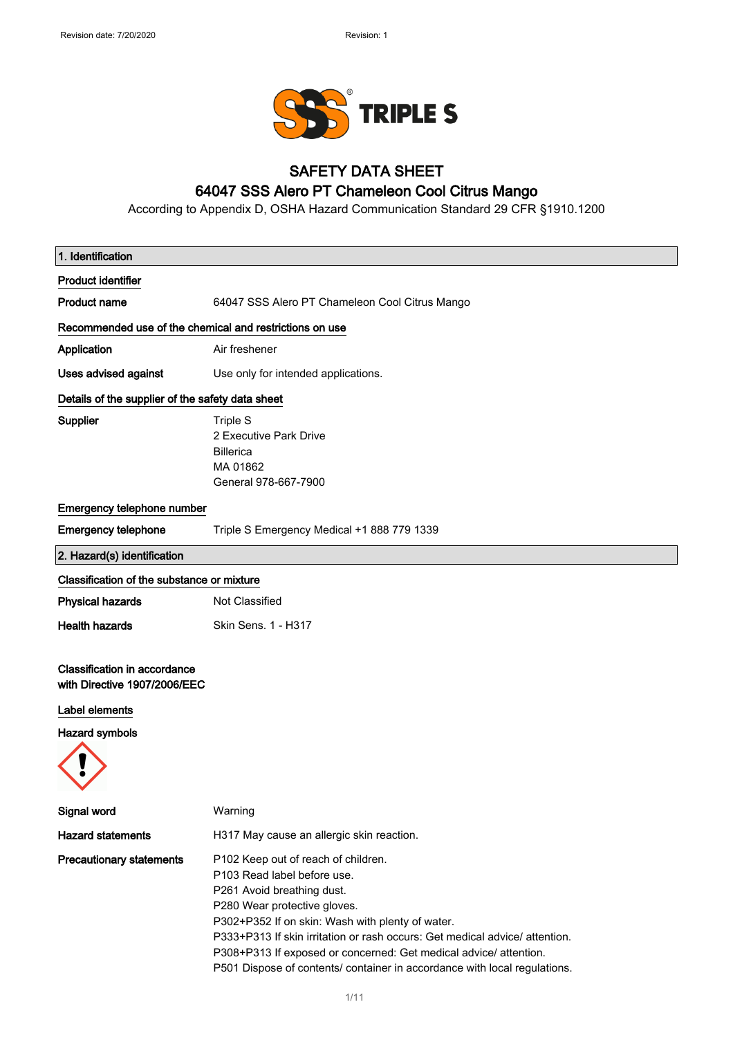

### SAFETY DATA SHEET

## 64047 SSS Alero PT Chameleon Cool Citrus Mango

According to Appendix D, OSHA Hazard Communication Standard 29 CFR §1910.1200

| 1. Identification                                                   |                                                                                                                                                                                                                                                                                                                                                                                                                       |
|---------------------------------------------------------------------|-----------------------------------------------------------------------------------------------------------------------------------------------------------------------------------------------------------------------------------------------------------------------------------------------------------------------------------------------------------------------------------------------------------------------|
| <b>Product identifier</b>                                           |                                                                                                                                                                                                                                                                                                                                                                                                                       |
| <b>Product name</b>                                                 | 64047 SSS Alero PT Chameleon Cool Citrus Mango                                                                                                                                                                                                                                                                                                                                                                        |
| Recommended use of the chemical and restrictions on use             |                                                                                                                                                                                                                                                                                                                                                                                                                       |
| Application                                                         | Air freshener                                                                                                                                                                                                                                                                                                                                                                                                         |
| <b>Uses advised against</b>                                         | Use only for intended applications.                                                                                                                                                                                                                                                                                                                                                                                   |
| Details of the supplier of the safety data sheet                    |                                                                                                                                                                                                                                                                                                                                                                                                                       |
| <b>Supplier</b>                                                     | <b>Triple S</b><br>2 Executive Park Drive<br><b>Billerica</b><br>MA 01862<br>General 978-667-7900                                                                                                                                                                                                                                                                                                                     |
| Emergency telephone number                                          |                                                                                                                                                                                                                                                                                                                                                                                                                       |
| <b>Emergency telephone</b>                                          | Triple S Emergency Medical +1 888 779 1339                                                                                                                                                                                                                                                                                                                                                                            |
| 2. Hazard(s) identification                                         |                                                                                                                                                                                                                                                                                                                                                                                                                       |
| Classification of the substance or mixture                          |                                                                                                                                                                                                                                                                                                                                                                                                                       |
| <b>Physical hazards</b>                                             | Not Classified                                                                                                                                                                                                                                                                                                                                                                                                        |
| <b>Health hazards</b>                                               | Skin Sens. 1 - H317                                                                                                                                                                                                                                                                                                                                                                                                   |
| <b>Classification in accordance</b><br>with Directive 1907/2006/EEC |                                                                                                                                                                                                                                                                                                                                                                                                                       |
| Label elements                                                      |                                                                                                                                                                                                                                                                                                                                                                                                                       |
| <b>Hazard symbols</b>                                               |                                                                                                                                                                                                                                                                                                                                                                                                                       |
|                                                                     |                                                                                                                                                                                                                                                                                                                                                                                                                       |
| Signal word                                                         | Warning                                                                                                                                                                                                                                                                                                                                                                                                               |
| <b>Hazard statements</b>                                            | H317 May cause an allergic skin reaction.                                                                                                                                                                                                                                                                                                                                                                             |
| <b>Precautionary statements</b>                                     | P102 Keep out of reach of children.<br>P103 Read label before use.<br>P261 Avoid breathing dust.<br>P280 Wear protective gloves.<br>P302+P352 If on skin: Wash with plenty of water.<br>P333+P313 If skin irritation or rash occurs: Get medical advice/ attention.<br>P308+P313 If exposed or concerned: Get medical advice/ attention.<br>P501 Dispose of contents/ container in accordance with local regulations. |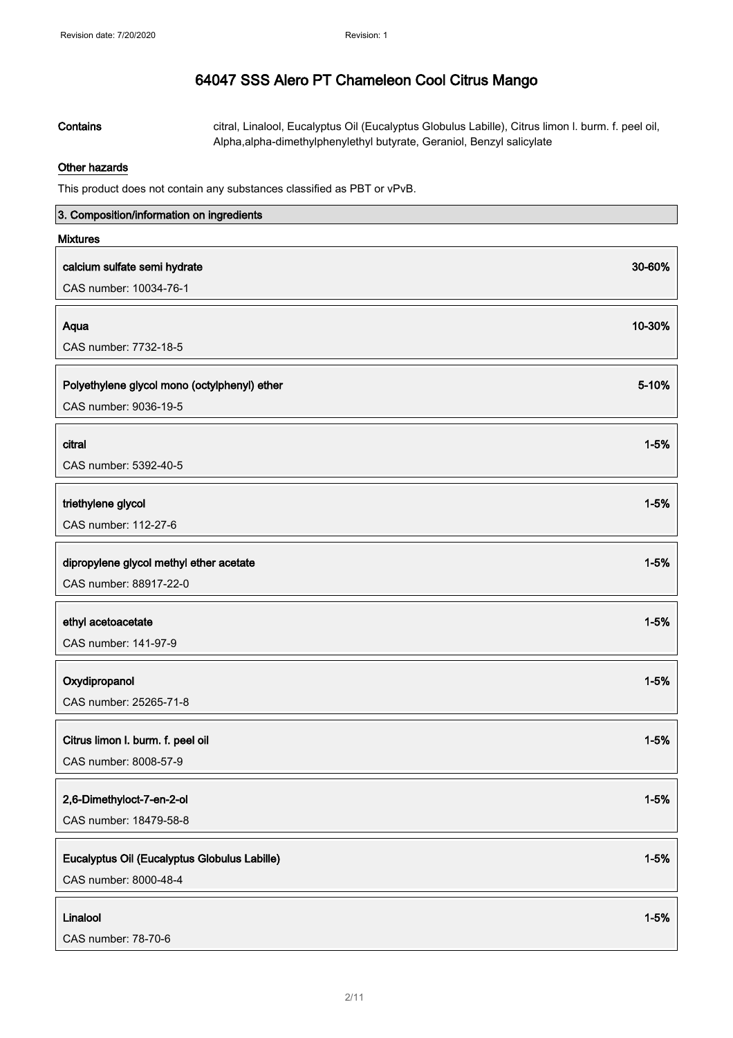Contains citral, Linalool, Eucalyptus Oil (Eucalyptus Globulus Labille), Citrus limon I. burm. f. peel oil, Alpha,alpha-dimethylphenylethyl butyrate, Geraniol, Benzyl salicylate

#### Other hazards

This product does not contain any substances classified as PBT or vPvB.

| 3. Composition/information on ingredients                  |          |
|------------------------------------------------------------|----------|
| <b>Mixtures</b>                                            |          |
| calcium sulfate semi hydrate                               | 30-60%   |
| CAS number: 10034-76-1                                     |          |
|                                                            | 10-30%   |
| Aqua<br>CAS number: 7732-18-5                              |          |
|                                                            |          |
| Polyethylene glycol mono (octylphenyl) ether               | 5-10%    |
| CAS number: 9036-19-5                                      |          |
| citral                                                     | $1 - 5%$ |
| CAS number: 5392-40-5                                      |          |
|                                                            |          |
| triethylene glycol                                         | $1 - 5%$ |
| CAS number: 112-27-6                                       |          |
| dipropylene glycol methyl ether acetate                    | $1 - 5%$ |
| CAS number: 88917-22-0                                     |          |
|                                                            |          |
| ethyl acetoacetate                                         | $1 - 5%$ |
| CAS number: 141-97-9                                       |          |
| Oxydipropanol                                              | $1 - 5%$ |
| CAS number: 25265-71-8                                     |          |
|                                                            | $1 - 5%$ |
| Citrus limon I. burm. f. peel oil<br>CAS number: 8008-57-9 |          |
|                                                            |          |
| 2,6-Dimethyloct-7-en-2-ol                                  | $1 - 5%$ |
| CAS number: 18479-58-8                                     |          |
| Eucalyptus Oil (Eucalyptus Globulus Labille)               | $1 - 5%$ |
| CAS number: 8000-48-4                                      |          |
|                                                            |          |
| Linalool                                                   | $1 - 5%$ |
| CAS number: 78-70-6                                        |          |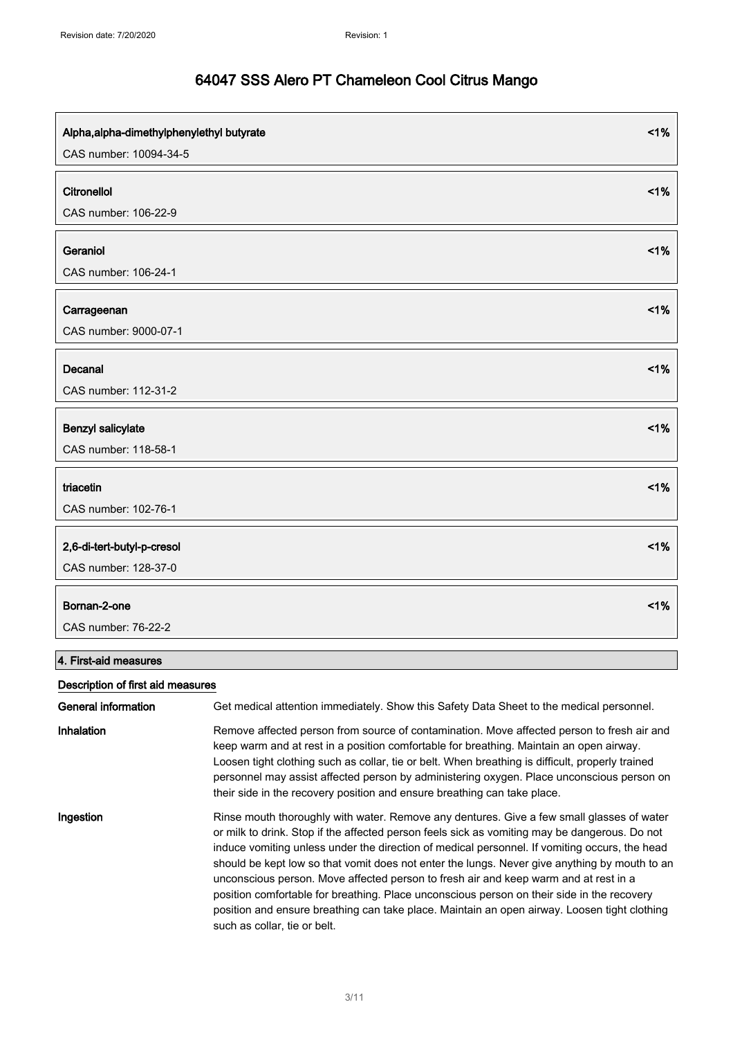| Alpha, alpha-dimethylphenylethyl butyrate<br>CAS number: 10094-34-5 | 1% |
|---------------------------------------------------------------------|----|
| Citronellol<br>CAS number: 106-22-9                                 | 1% |
| Geraniol<br>CAS number: 106-24-1                                    | 1% |
| Carrageenan<br>CAS number: 9000-07-1                                | 1% |
| Decanal<br>CAS number: 112-31-2                                     | 1% |
| Benzyl salicylate<br>CAS number: 118-58-1                           | 1% |
| triacetin<br>CAS number: 102-76-1                                   | 1% |
| 2,6-di-tert-butyl-p-cresol<br>CAS number: 128-37-0                  | 1% |
| Bornan-2-one<br>CAS number: 76-22-2                                 | 1% |

### 4. First-aid measures

### Description of first aid measures

| General information | Get medical attention immediately. Show this Safety Data Sheet to the medical personnel.                                                                                                                                                                                                                                                                                                                                                                                                                                                                                                                                                                                                                           |
|---------------------|--------------------------------------------------------------------------------------------------------------------------------------------------------------------------------------------------------------------------------------------------------------------------------------------------------------------------------------------------------------------------------------------------------------------------------------------------------------------------------------------------------------------------------------------------------------------------------------------------------------------------------------------------------------------------------------------------------------------|
| Inhalation          | Remove affected person from source of contamination. Move affected person to fresh air and<br>keep warm and at rest in a position comfortable for breathing. Maintain an open airway.<br>Loosen tight clothing such as collar, tie or belt. When breathing is difficult, properly trained<br>personnel may assist affected person by administering oxygen. Place unconscious person on<br>their side in the recovery position and ensure breathing can take place.                                                                                                                                                                                                                                                 |
| Ingestion           | Rinse mouth thoroughly with water. Remove any dentures. Give a few small glasses of water<br>or milk to drink. Stop if the affected person feels sick as vomiting may be dangerous. Do not<br>induce vomiting unless under the direction of medical personnel. If vomiting occurs, the head<br>should be kept low so that vomit does not enter the lungs. Never give anything by mouth to an<br>unconscious person. Move affected person to fresh air and keep warm and at rest in a<br>position comfortable for breathing. Place unconscious person on their side in the recovery<br>position and ensure breathing can take place. Maintain an open airway. Loosen tight clothing<br>such as collar, tie or belt. |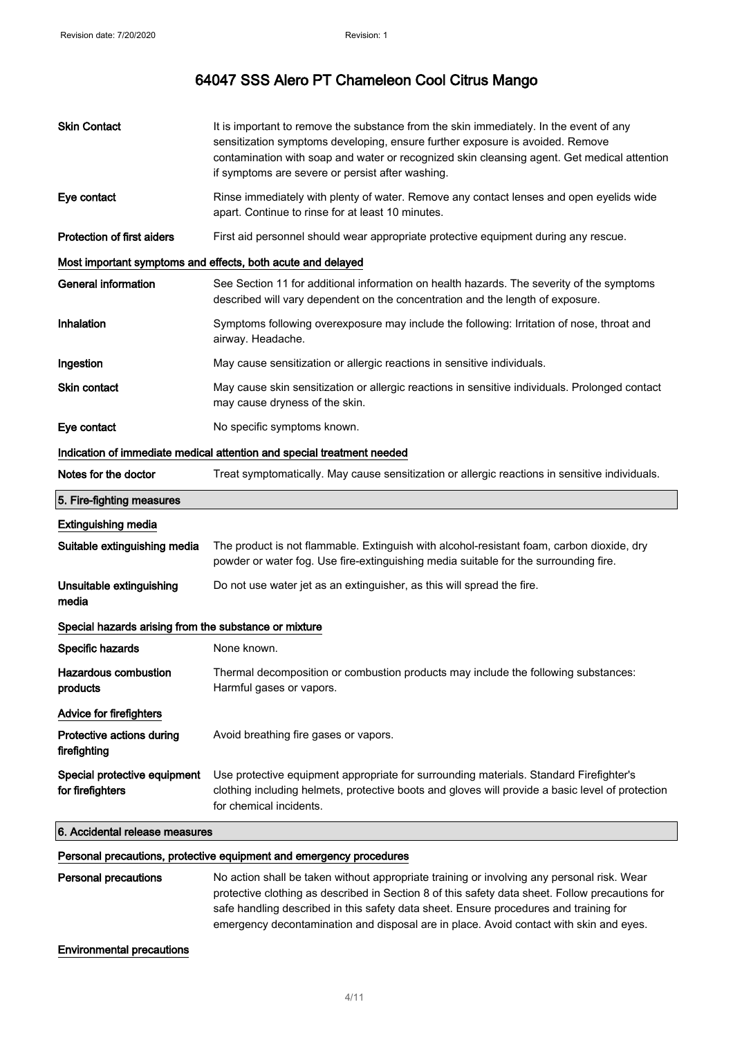| <b>Skin Contact</b>                                   | It is important to remove the substance from the skin immediately. In the event of any<br>sensitization symptoms developing, ensure further exposure is avoided. Remove<br>contamination with soap and water or recognized skin cleansing agent. Get medical attention<br>if symptoms are severe or persist after washing. |
|-------------------------------------------------------|----------------------------------------------------------------------------------------------------------------------------------------------------------------------------------------------------------------------------------------------------------------------------------------------------------------------------|
| Eye contact                                           | Rinse immediately with plenty of water. Remove any contact lenses and open eyelids wide<br>apart. Continue to rinse for at least 10 minutes.                                                                                                                                                                               |
| <b>Protection of first aiders</b>                     | First aid personnel should wear appropriate protective equipment during any rescue.                                                                                                                                                                                                                                        |
|                                                       | Most important symptoms and effects, both acute and delayed                                                                                                                                                                                                                                                                |
| <b>General information</b>                            | See Section 11 for additional information on health hazards. The severity of the symptoms<br>described will vary dependent on the concentration and the length of exposure.                                                                                                                                                |
| Inhalation                                            | Symptoms following overexposure may include the following: Irritation of nose, throat and<br>airway. Headache.                                                                                                                                                                                                             |
| Ingestion                                             | May cause sensitization or allergic reactions in sensitive individuals.                                                                                                                                                                                                                                                    |
| Skin contact                                          | May cause skin sensitization or allergic reactions in sensitive individuals. Prolonged contact<br>may cause dryness of the skin.                                                                                                                                                                                           |
| Eye contact                                           | No specific symptoms known.                                                                                                                                                                                                                                                                                                |
|                                                       | Indication of immediate medical attention and special treatment needed                                                                                                                                                                                                                                                     |
| Notes for the doctor                                  | Treat symptomatically. May cause sensitization or allergic reactions in sensitive individuals.                                                                                                                                                                                                                             |
| 5. Fire-fighting measures                             |                                                                                                                                                                                                                                                                                                                            |
| <b>Extinguishing media</b>                            |                                                                                                                                                                                                                                                                                                                            |
| Suitable extinguishing media                          | The product is not flammable. Extinguish with alcohol-resistant foam, carbon dioxide, dry<br>powder or water fog. Use fire-extinguishing media suitable for the surrounding fire.                                                                                                                                          |
| Unsuitable extinguishing<br>media                     | Do not use water jet as an extinguisher, as this will spread the fire.                                                                                                                                                                                                                                                     |
| Special hazards arising from the substance or mixture |                                                                                                                                                                                                                                                                                                                            |
| Specific hazards                                      | None known.                                                                                                                                                                                                                                                                                                                |
| Hazardous combustion<br>products                      | Thermal decomposition or combustion products may include the following substances:<br>Harmful gases or vapors.                                                                                                                                                                                                             |
| Advice for firefighters                               |                                                                                                                                                                                                                                                                                                                            |
| Protective actions during<br>firefighting             | Avoid breathing fire gases or vapors.                                                                                                                                                                                                                                                                                      |
| Special protective equipment<br>for firefighters      | Use protective equipment appropriate for surrounding materials. Standard Firefighter's<br>clothing including helmets, protective boots and gloves will provide a basic level of protection<br>for chemical incidents.                                                                                                      |
| 6. Accidental release measures                        |                                                                                                                                                                                                                                                                                                                            |
|                                                       | Personal precautions, protective equipment and emergency procedures                                                                                                                                                                                                                                                        |
| <b>Personal precautions</b>                           | No action shall be taken without appropriate training or involving any personal risk. Wear<br>protective clothing as described in Section 8 of this safety data sheet. Follow precautions for<br>safe handling described in this safety data sheet. Ensure procedures and training for                                     |

emergency decontamination and disposal are in place. Avoid contact with skin and eyes.

Environmental precautions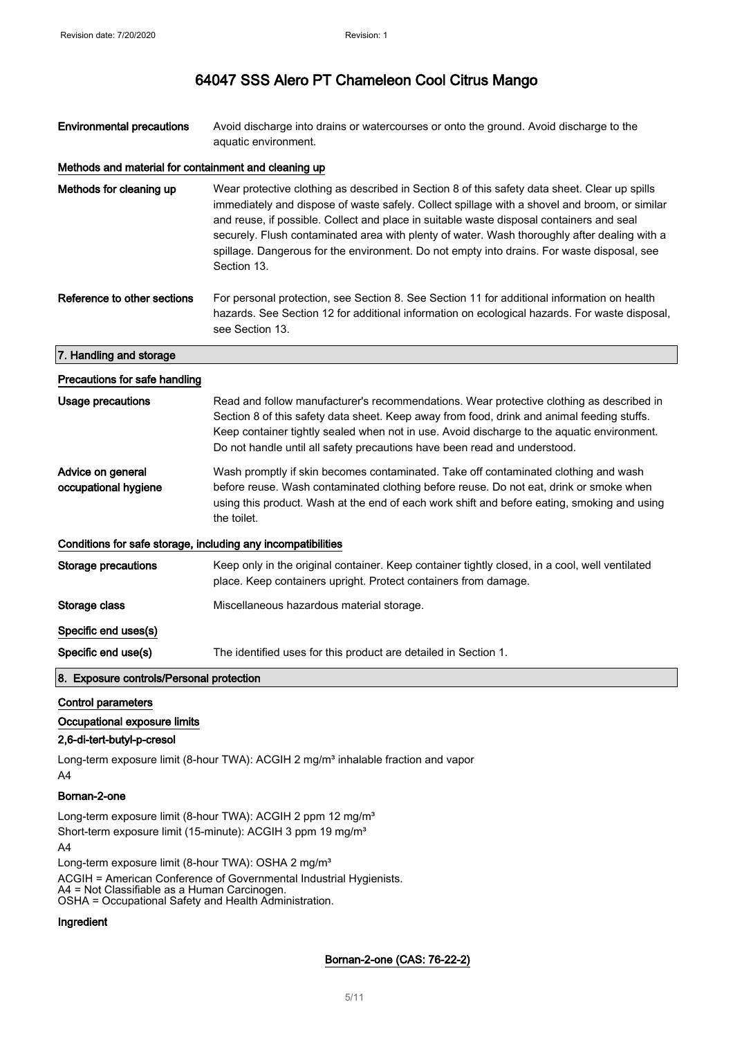| <b>Environmental precautions</b>                             | Avoid discharge into drains or watercourses or onto the ground. Avoid discharge to the<br>aquatic environment.                                                                                                                                                                                                                                                                                                                                                                                          |  |
|--------------------------------------------------------------|---------------------------------------------------------------------------------------------------------------------------------------------------------------------------------------------------------------------------------------------------------------------------------------------------------------------------------------------------------------------------------------------------------------------------------------------------------------------------------------------------------|--|
| Methods and material for containment and cleaning up         |                                                                                                                                                                                                                                                                                                                                                                                                                                                                                                         |  |
| Methods for cleaning up                                      | Wear protective clothing as described in Section 8 of this safety data sheet. Clear up spills<br>immediately and dispose of waste safely. Collect spillage with a shovel and broom, or similar<br>and reuse, if possible. Collect and place in suitable waste disposal containers and seal<br>securely. Flush contaminated area with plenty of water. Wash thoroughly after dealing with a<br>spillage. Dangerous for the environment. Do not empty into drains. For waste disposal, see<br>Section 13. |  |
| Reference to other sections                                  | For personal protection, see Section 8. See Section 11 for additional information on health<br>hazards. See Section 12 for additional information on ecological hazards. For waste disposal,<br>see Section 13.                                                                                                                                                                                                                                                                                         |  |
| 7. Handling and storage                                      |                                                                                                                                                                                                                                                                                                                                                                                                                                                                                                         |  |
| Precautions for safe handling                                |                                                                                                                                                                                                                                                                                                                                                                                                                                                                                                         |  |
| <b>Usage precautions</b>                                     | Read and follow manufacturer's recommendations. Wear protective clothing as described in<br>Section 8 of this safety data sheet. Keep away from food, drink and animal feeding stuffs.<br>Keep container tightly sealed when not in use. Avoid discharge to the aquatic environment.<br>Do not handle until all safety precautions have been read and understood.                                                                                                                                       |  |
| Advice on general<br>occupational hygiene                    | Wash promptly if skin becomes contaminated. Take off contaminated clothing and wash<br>before reuse. Wash contaminated clothing before reuse. Do not eat, drink or smoke when<br>using this product. Wash at the end of each work shift and before eating, smoking and using<br>the toilet.                                                                                                                                                                                                             |  |
| Conditions for safe storage, including any incompatibilities |                                                                                                                                                                                                                                                                                                                                                                                                                                                                                                         |  |
| Storage precautions                                          | Keep only in the original container. Keep container tightly closed, in a cool, well ventilated<br>place. Keep containers upright. Protect containers from damage.                                                                                                                                                                                                                                                                                                                                       |  |
| Storage class                                                | Miscellaneous hazardous material storage.                                                                                                                                                                                                                                                                                                                                                                                                                                                               |  |
| Specific end uses(s)                                         |                                                                                                                                                                                                                                                                                                                                                                                                                                                                                                         |  |
| Specific end use(s)                                          | The identified uses for this product are detailed in Section 1.                                                                                                                                                                                                                                                                                                                                                                                                                                         |  |
| 8. Exposure controls/Personal protection                     |                                                                                                                                                                                                                                                                                                                                                                                                                                                                                                         |  |
| <b>Control parameters</b>                                    |                                                                                                                                                                                                                                                                                                                                                                                                                                                                                                         |  |
| Occupational exposure limits                                 |                                                                                                                                                                                                                                                                                                                                                                                                                                                                                                         |  |
| 2,6-di-tert-butyl-p-cresol                                   |                                                                                                                                                                                                                                                                                                                                                                                                                                                                                                         |  |

Long-term exposure limit (8-hour TWA): ACGIH 2 mg/m<sup>3</sup> inhalable fraction and vapor A4

#### Bornan-2-one

Long-term exposure limit (8-hour TWA): ACGIH 2 ppm 12 mg/m<sup>3</sup> Short-term exposure limit (15-minute): ACGIH 3 ppm 19 mg/m<sup>3</sup>

A4 Long-term exposure limit (8-hour TWA): OSHA 2 mg/m<sup>3</sup> ACGIH = American Conference of Governmental Industrial Hygienists. A4 = Not Classifiable as a Human Carcinogen. OSHA = Occupational Safety and Health Administration.

#### Ingredient

#### Bornan-2-one (CAS: 76-22-2)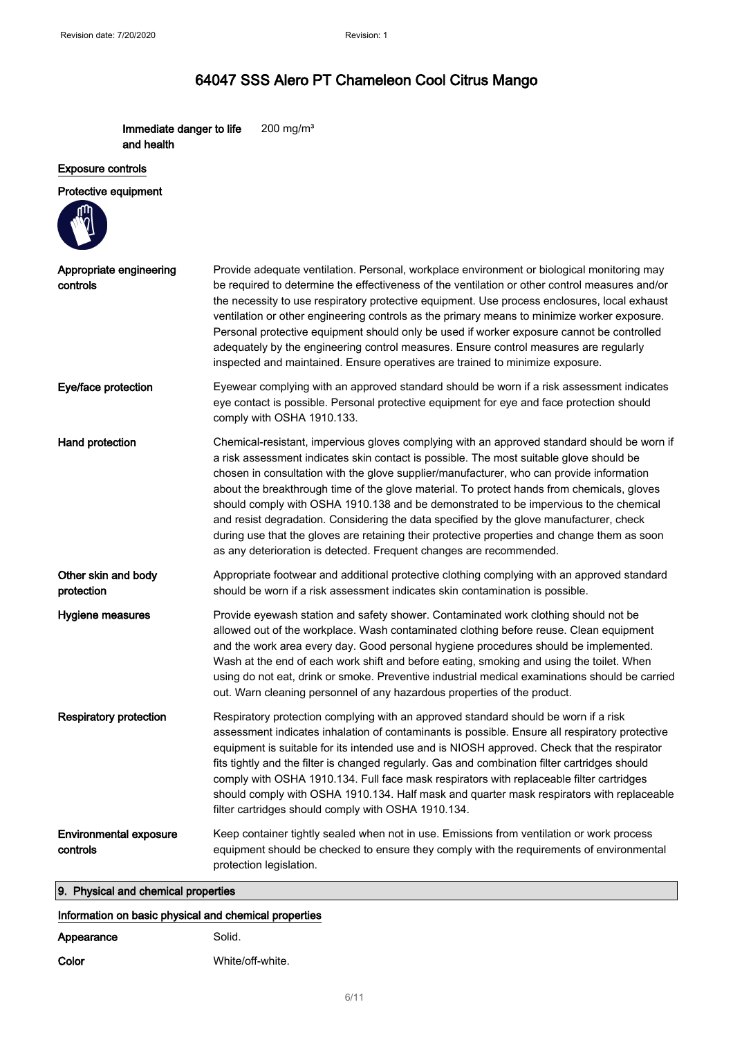Immediate danger to life and health 200 mg/m³

#### Exposure controls

#### Protective equipment

| Appropriate engineering<br>controls       | Provide adequate ventilation. Personal, workplace environment or biological monitoring may<br>be required to determine the effectiveness of the ventilation or other control measures and/or<br>the necessity to use respiratory protective equipment. Use process enclosures, local exhaust<br>ventilation or other engineering controls as the primary means to minimize worker exposure.<br>Personal protective equipment should only be used if worker exposure cannot be controlled<br>adequately by the engineering control measures. Ensure control measures are regularly<br>inspected and maintained. Ensure operatives are trained to minimize exposure.                                                                          |
|-------------------------------------------|---------------------------------------------------------------------------------------------------------------------------------------------------------------------------------------------------------------------------------------------------------------------------------------------------------------------------------------------------------------------------------------------------------------------------------------------------------------------------------------------------------------------------------------------------------------------------------------------------------------------------------------------------------------------------------------------------------------------------------------------|
| Eye/face protection                       | Eyewear complying with an approved standard should be worn if a risk assessment indicates<br>eye contact is possible. Personal protective equipment for eye and face protection should<br>comply with OSHA 1910.133.                                                                                                                                                                                                                                                                                                                                                                                                                                                                                                                        |
| Hand protection                           | Chemical-resistant, impervious gloves complying with an approved standard should be worn if<br>a risk assessment indicates skin contact is possible. The most suitable glove should be<br>chosen in consultation with the glove supplier/manufacturer, who can provide information<br>about the breakthrough time of the glove material. To protect hands from chemicals, gloves<br>should comply with OSHA 1910.138 and be demonstrated to be impervious to the chemical<br>and resist degradation. Considering the data specified by the glove manufacturer, check<br>during use that the gloves are retaining their protective properties and change them as soon<br>as any deterioration is detected. Frequent changes are recommended. |
| Other skin and body<br>protection         | Appropriate footwear and additional protective clothing complying with an approved standard<br>should be worn if a risk assessment indicates skin contamination is possible.                                                                                                                                                                                                                                                                                                                                                                                                                                                                                                                                                                |
| Hygiene measures                          | Provide eyewash station and safety shower. Contaminated work clothing should not be<br>allowed out of the workplace. Wash contaminated clothing before reuse. Clean equipment<br>and the work area every day. Good personal hygiene procedures should be implemented.<br>Wash at the end of each work shift and before eating, smoking and using the toilet. When<br>using do not eat, drink or smoke. Preventive industrial medical examinations should be carried<br>out. Warn cleaning personnel of any hazardous properties of the product.                                                                                                                                                                                             |
| <b>Respiratory protection</b>             | Respiratory protection complying with an approved standard should be worn if a risk<br>assessment indicates inhalation of contaminants is possible. Ensure all respiratory protective<br>equipment is suitable for its intended use and is NIOSH approved. Check that the respirator<br>fits tightly and the filter is changed regularly. Gas and combination filter cartridges should<br>comply with OSHA 1910.134. Full face mask respirators with replaceable filter cartridges<br>should comply with OSHA 1910.134. Half mask and quarter mask respirators with replaceable<br>filter cartridges should comply with OSHA 1910.134.                                                                                                      |
| <b>Environmental exposure</b><br>controls | Keep container tightly sealed when not in use. Emissions from ventilation or work process<br>equipment should be checked to ensure they comply with the requirements of environmental<br>protection legislation.                                                                                                                                                                                                                                                                                                                                                                                                                                                                                                                            |
| 9. Physical and chemical properties       |                                                                                                                                                                                                                                                                                                                                                                                                                                                                                                                                                                                                                                                                                                                                             |

#### Information on basic physical and chemical properties

| Appearance | Solid.           |
|------------|------------------|
| Color      | White/off-white. |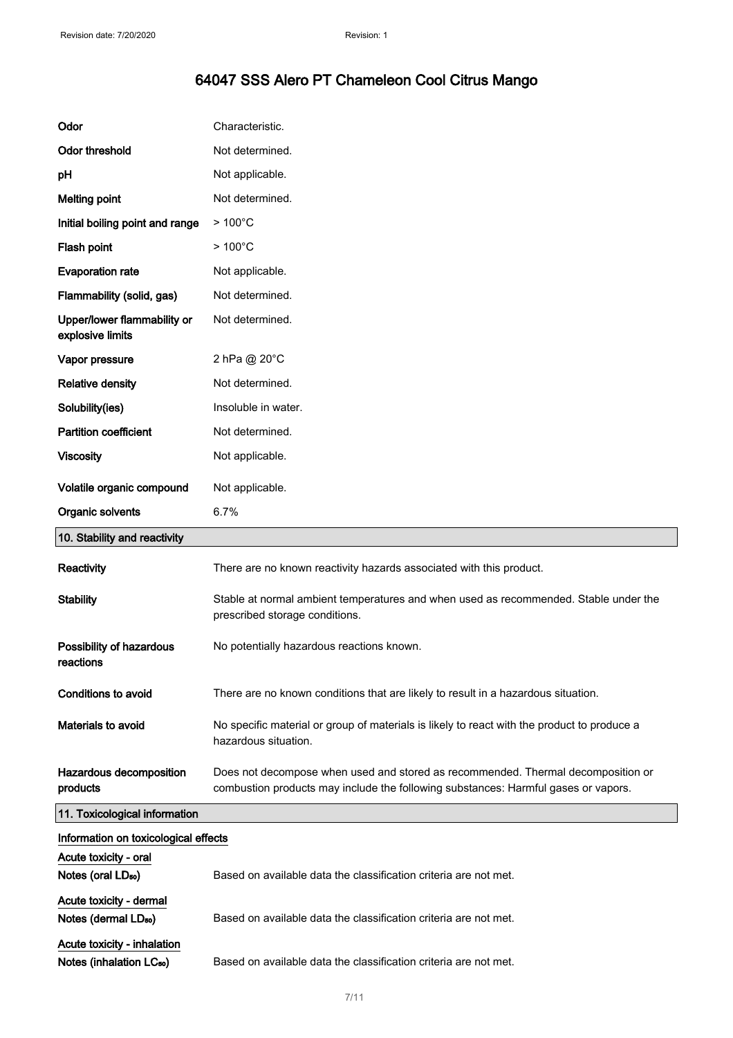| Odor                                                        | Characteristic.                                                                                                                                                        |
|-------------------------------------------------------------|------------------------------------------------------------------------------------------------------------------------------------------------------------------------|
| <b>Odor threshold</b>                                       | Not determined.                                                                                                                                                        |
| pH                                                          | Not applicable.                                                                                                                                                        |
| <b>Melting point</b>                                        | Not determined.                                                                                                                                                        |
| Initial boiling point and range                             | $>100^{\circ}$ C                                                                                                                                                       |
| Flash point                                                 | $>100^{\circ}$ C                                                                                                                                                       |
| <b>Evaporation rate</b>                                     | Not applicable.                                                                                                                                                        |
| Flammability (solid, gas)                                   | Not determined.                                                                                                                                                        |
| Upper/lower flammability or<br>explosive limits             | Not determined.                                                                                                                                                        |
| Vapor pressure                                              | 2 hPa @ 20°C                                                                                                                                                           |
| <b>Relative density</b>                                     | Not determined.                                                                                                                                                        |
| Solubility(ies)                                             | Insoluble in water.                                                                                                                                                    |
| <b>Partition coefficient</b>                                | Not determined.                                                                                                                                                        |
| <b>Viscosity</b>                                            | Not applicable.                                                                                                                                                        |
| Volatile organic compound                                   | Not applicable.                                                                                                                                                        |
| Organic solvents                                            | 6.7%                                                                                                                                                                   |
| 10. Stability and reactivity                                |                                                                                                                                                                        |
| Reactivity                                                  | There are no known reactivity hazards associated with this product.                                                                                                    |
|                                                             |                                                                                                                                                                        |
| <b>Stability</b>                                            | Stable at normal ambient temperatures and when used as recommended. Stable under the<br>prescribed storage conditions.                                                 |
| Possibility of hazardous<br>reactions                       | No potentially hazardous reactions known.                                                                                                                              |
| <b>Conditions to avoid</b>                                  | There are no known conditions that are likely to result in a hazardous situation.                                                                                      |
| Materials to avoid                                          | No specific material or group of materials is likely to react with the product to produce a<br>hazardous situation.                                                    |
| Hazardous decomposition<br>products                         | Does not decompose when used and stored as recommended. Thermal decomposition or<br>combustion products may include the following substances: Harmful gases or vapors. |
| 11. Toxicological information                               |                                                                                                                                                                        |
| Information on toxicological effects                        |                                                                                                                                                                        |
| Acute toxicity - oral                                       |                                                                                                                                                                        |
| Notes (oral LD <sub>50</sub> )                              | Based on available data the classification criteria are not met.                                                                                                       |
| Acute toxicity - dermal<br>Notes (dermal LD <sub>50</sub> ) | Based on available data the classification criteria are not met.                                                                                                       |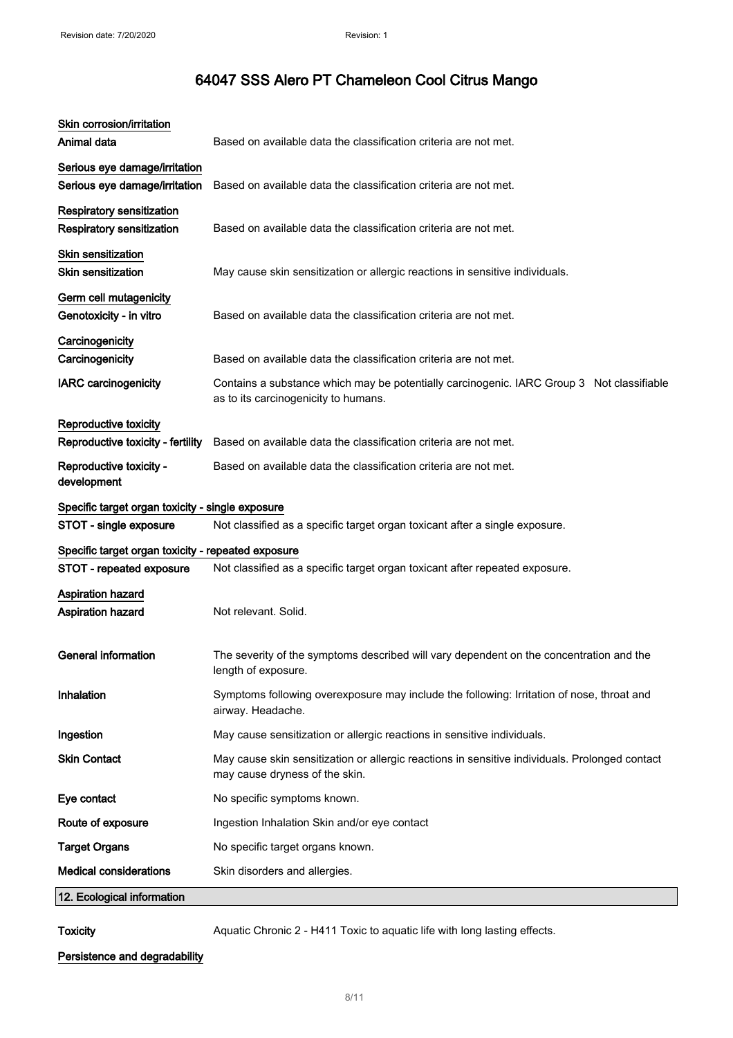| Animal data<br>Based on available data the classification criteria are not met.<br>Serious eye damage/irritation<br>Serious eye damage/irritation<br>Based on available data the classification criteria are not met.<br><b>Respiratory sensitization</b><br><b>Respiratory sensitization</b><br>Based on available data the classification criteria are not met.<br><b>Skin sensitization</b><br><b>Skin sensitization</b><br>May cause skin sensitization or allergic reactions in sensitive individuals.<br>Germ cell mutagenicity<br>Genotoxicity - in vitro<br>Based on available data the classification criteria are not met.<br>Carcinogenicity<br>Based on available data the classification criteria are not met.<br>Carcinogenicity<br><b>IARC carcinogenicity</b><br>Contains a substance which may be potentially carcinogenic. IARC Group 3 Not classifiable<br>as to its carcinogenicity to humans.<br>Reproductive toxicity<br>Reproductive toxicity - fertility<br>Based on available data the classification criteria are not met.<br>Reproductive toxicity -<br>Based on available data the classification criteria are not met.<br>development<br>Specific target organ toxicity - single exposure<br>STOT - single exposure<br>Not classified as a specific target organ toxicant after a single exposure.<br>Specific target organ toxicity - repeated exposure<br>STOT - repeated exposure<br>Not classified as a specific target organ toxicant after repeated exposure.<br><b>Aspiration hazard</b><br>Aspiration hazard<br>Not relevant. Solid.<br><b>General information</b><br>The severity of the symptoms described will vary dependent on the concentration and the |
|----------------------------------------------------------------------------------------------------------------------------------------------------------------------------------------------------------------------------------------------------------------------------------------------------------------------------------------------------------------------------------------------------------------------------------------------------------------------------------------------------------------------------------------------------------------------------------------------------------------------------------------------------------------------------------------------------------------------------------------------------------------------------------------------------------------------------------------------------------------------------------------------------------------------------------------------------------------------------------------------------------------------------------------------------------------------------------------------------------------------------------------------------------------------------------------------------------------------------------------------------------------------------------------------------------------------------------------------------------------------------------------------------------------------------------------------------------------------------------------------------------------------------------------------------------------------------------------------------------------------------------------------------------------------------------------------------|
|                                                                                                                                                                                                                                                                                                                                                                                                                                                                                                                                                                                                                                                                                                                                                                                                                                                                                                                                                                                                                                                                                                                                                                                                                                                                                                                                                                                                                                                                                                                                                                                                                                                                                                    |
|                                                                                                                                                                                                                                                                                                                                                                                                                                                                                                                                                                                                                                                                                                                                                                                                                                                                                                                                                                                                                                                                                                                                                                                                                                                                                                                                                                                                                                                                                                                                                                                                                                                                                                    |
|                                                                                                                                                                                                                                                                                                                                                                                                                                                                                                                                                                                                                                                                                                                                                                                                                                                                                                                                                                                                                                                                                                                                                                                                                                                                                                                                                                                                                                                                                                                                                                                                                                                                                                    |
|                                                                                                                                                                                                                                                                                                                                                                                                                                                                                                                                                                                                                                                                                                                                                                                                                                                                                                                                                                                                                                                                                                                                                                                                                                                                                                                                                                                                                                                                                                                                                                                                                                                                                                    |
|                                                                                                                                                                                                                                                                                                                                                                                                                                                                                                                                                                                                                                                                                                                                                                                                                                                                                                                                                                                                                                                                                                                                                                                                                                                                                                                                                                                                                                                                                                                                                                                                                                                                                                    |
|                                                                                                                                                                                                                                                                                                                                                                                                                                                                                                                                                                                                                                                                                                                                                                                                                                                                                                                                                                                                                                                                                                                                                                                                                                                                                                                                                                                                                                                                                                                                                                                                                                                                                                    |
|                                                                                                                                                                                                                                                                                                                                                                                                                                                                                                                                                                                                                                                                                                                                                                                                                                                                                                                                                                                                                                                                                                                                                                                                                                                                                                                                                                                                                                                                                                                                                                                                                                                                                                    |
|                                                                                                                                                                                                                                                                                                                                                                                                                                                                                                                                                                                                                                                                                                                                                                                                                                                                                                                                                                                                                                                                                                                                                                                                                                                                                                                                                                                                                                                                                                                                                                                                                                                                                                    |
|                                                                                                                                                                                                                                                                                                                                                                                                                                                                                                                                                                                                                                                                                                                                                                                                                                                                                                                                                                                                                                                                                                                                                                                                                                                                                                                                                                                                                                                                                                                                                                                                                                                                                                    |
|                                                                                                                                                                                                                                                                                                                                                                                                                                                                                                                                                                                                                                                                                                                                                                                                                                                                                                                                                                                                                                                                                                                                                                                                                                                                                                                                                                                                                                                                                                                                                                                                                                                                                                    |
|                                                                                                                                                                                                                                                                                                                                                                                                                                                                                                                                                                                                                                                                                                                                                                                                                                                                                                                                                                                                                                                                                                                                                                                                                                                                                                                                                                                                                                                                                                                                                                                                                                                                                                    |
|                                                                                                                                                                                                                                                                                                                                                                                                                                                                                                                                                                                                                                                                                                                                                                                                                                                                                                                                                                                                                                                                                                                                                                                                                                                                                                                                                                                                                                                                                                                                                                                                                                                                                                    |
|                                                                                                                                                                                                                                                                                                                                                                                                                                                                                                                                                                                                                                                                                                                                                                                                                                                                                                                                                                                                                                                                                                                                                                                                                                                                                                                                                                                                                                                                                                                                                                                                                                                                                                    |
|                                                                                                                                                                                                                                                                                                                                                                                                                                                                                                                                                                                                                                                                                                                                                                                                                                                                                                                                                                                                                                                                                                                                                                                                                                                                                                                                                                                                                                                                                                                                                                                                                                                                                                    |
|                                                                                                                                                                                                                                                                                                                                                                                                                                                                                                                                                                                                                                                                                                                                                                                                                                                                                                                                                                                                                                                                                                                                                                                                                                                                                                                                                                                                                                                                                                                                                                                                                                                                                                    |
|                                                                                                                                                                                                                                                                                                                                                                                                                                                                                                                                                                                                                                                                                                                                                                                                                                                                                                                                                                                                                                                                                                                                                                                                                                                                                                                                                                                                                                                                                                                                                                                                                                                                                                    |
| length of exposure.                                                                                                                                                                                                                                                                                                                                                                                                                                                                                                                                                                                                                                                                                                                                                                                                                                                                                                                                                                                                                                                                                                                                                                                                                                                                                                                                                                                                                                                                                                                                                                                                                                                                                |
| Inhalation<br>Symptoms following overexposure may include the following: Irritation of nose, throat and<br>airway. Headache.                                                                                                                                                                                                                                                                                                                                                                                                                                                                                                                                                                                                                                                                                                                                                                                                                                                                                                                                                                                                                                                                                                                                                                                                                                                                                                                                                                                                                                                                                                                                                                       |
| Ingestion<br>May cause sensitization or allergic reactions in sensitive individuals.                                                                                                                                                                                                                                                                                                                                                                                                                                                                                                                                                                                                                                                                                                                                                                                                                                                                                                                                                                                                                                                                                                                                                                                                                                                                                                                                                                                                                                                                                                                                                                                                               |
| <b>Skin Contact</b><br>May cause skin sensitization or allergic reactions in sensitive individuals. Prolonged contact<br>may cause dryness of the skin.                                                                                                                                                                                                                                                                                                                                                                                                                                                                                                                                                                                                                                                                                                                                                                                                                                                                                                                                                                                                                                                                                                                                                                                                                                                                                                                                                                                                                                                                                                                                            |
| No specific symptoms known.<br>Eye contact                                                                                                                                                                                                                                                                                                                                                                                                                                                                                                                                                                                                                                                                                                                                                                                                                                                                                                                                                                                                                                                                                                                                                                                                                                                                                                                                                                                                                                                                                                                                                                                                                                                         |
| Route of exposure<br>Ingestion Inhalation Skin and/or eye contact                                                                                                                                                                                                                                                                                                                                                                                                                                                                                                                                                                                                                                                                                                                                                                                                                                                                                                                                                                                                                                                                                                                                                                                                                                                                                                                                                                                                                                                                                                                                                                                                                                  |
| <b>Target Organs</b><br>No specific target organs known.                                                                                                                                                                                                                                                                                                                                                                                                                                                                                                                                                                                                                                                                                                                                                                                                                                                                                                                                                                                                                                                                                                                                                                                                                                                                                                                                                                                                                                                                                                                                                                                                                                           |
| <b>Medical considerations</b><br>Skin disorders and allergies.                                                                                                                                                                                                                                                                                                                                                                                                                                                                                                                                                                                                                                                                                                                                                                                                                                                                                                                                                                                                                                                                                                                                                                                                                                                                                                                                                                                                                                                                                                                                                                                                                                     |
| 12. Ecological information                                                                                                                                                                                                                                                                                                                                                                                                                                                                                                                                                                                                                                                                                                                                                                                                                                                                                                                                                                                                                                                                                                                                                                                                                                                                                                                                                                                                                                                                                                                                                                                                                                                                         |

Toxicity **Aquatic Chronic 2 - H411 Toxic to aquatic life with long lasting effects.** 

Persistence and degradability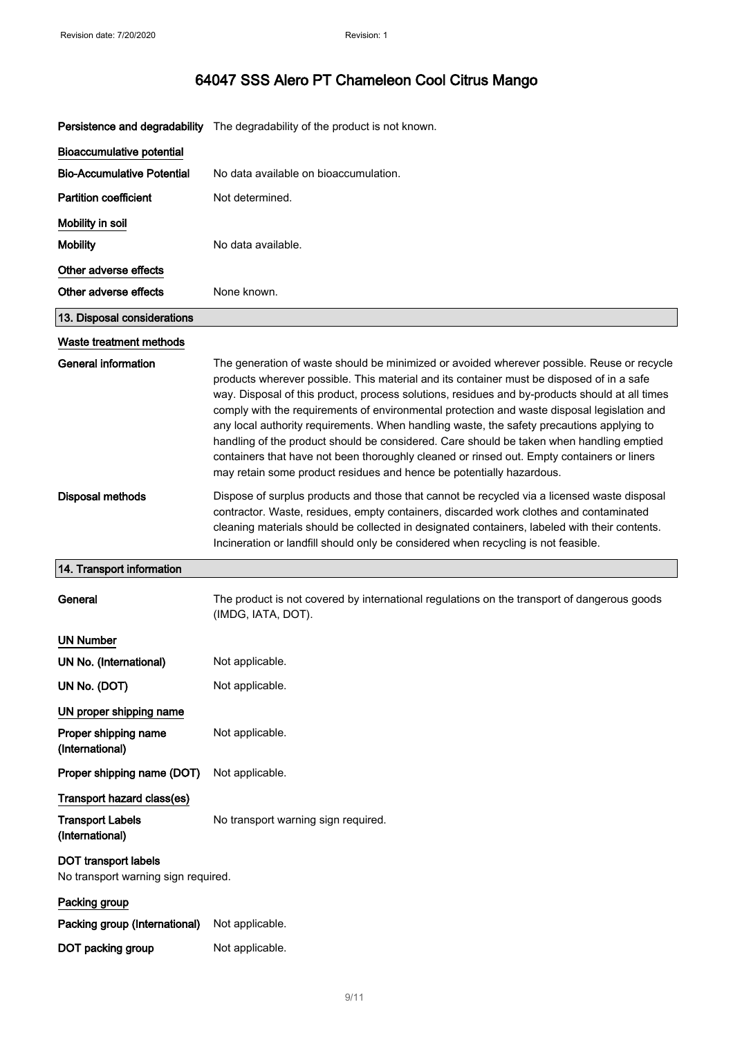|  | 64047 SSS Alero PT Chameleon Cool Citrus Mango |
|--|------------------------------------------------|
|--|------------------------------------------------|

|                                                                    | Persistence and degradability The degradability of the product is not known.                                                                                                                                                                                                                                                                                                                                                                                                                                                                                                                                                                                                                                                                            |
|--------------------------------------------------------------------|---------------------------------------------------------------------------------------------------------------------------------------------------------------------------------------------------------------------------------------------------------------------------------------------------------------------------------------------------------------------------------------------------------------------------------------------------------------------------------------------------------------------------------------------------------------------------------------------------------------------------------------------------------------------------------------------------------------------------------------------------------|
| <b>Bioaccumulative potential</b>                                   |                                                                                                                                                                                                                                                                                                                                                                                                                                                                                                                                                                                                                                                                                                                                                         |
| <b>Bio-Accumulative Potential</b>                                  | No data available on bioaccumulation.                                                                                                                                                                                                                                                                                                                                                                                                                                                                                                                                                                                                                                                                                                                   |
| <b>Partition coefficient</b>                                       | Not determined.                                                                                                                                                                                                                                                                                                                                                                                                                                                                                                                                                                                                                                                                                                                                         |
| Mobility in soil                                                   |                                                                                                                                                                                                                                                                                                                                                                                                                                                                                                                                                                                                                                                                                                                                                         |
| <b>Mobility</b>                                                    | No data available.                                                                                                                                                                                                                                                                                                                                                                                                                                                                                                                                                                                                                                                                                                                                      |
| Other adverse effects                                              |                                                                                                                                                                                                                                                                                                                                                                                                                                                                                                                                                                                                                                                                                                                                                         |
| Other adverse effects                                              | None known.                                                                                                                                                                                                                                                                                                                                                                                                                                                                                                                                                                                                                                                                                                                                             |
| 13. Disposal considerations                                        |                                                                                                                                                                                                                                                                                                                                                                                                                                                                                                                                                                                                                                                                                                                                                         |
| Waste treatment methods                                            |                                                                                                                                                                                                                                                                                                                                                                                                                                                                                                                                                                                                                                                                                                                                                         |
| <b>General information</b>                                         | The generation of waste should be minimized or avoided wherever possible. Reuse or recycle<br>products wherever possible. This material and its container must be disposed of in a safe<br>way. Disposal of this product, process solutions, residues and by-products should at all times<br>comply with the requirements of environmental protection and waste disposal legislation and<br>any local authority requirements. When handling waste, the safety precautions applying to<br>handling of the product should be considered. Care should be taken when handling emptied<br>containers that have not been thoroughly cleaned or rinsed out. Empty containers or liners<br>may retain some product residues and hence be potentially hazardous. |
| Disposal methods                                                   | Dispose of surplus products and those that cannot be recycled via a licensed waste disposal<br>contractor. Waste, residues, empty containers, discarded work clothes and contaminated<br>cleaning materials should be collected in designated containers, labeled with their contents.<br>Incineration or landfill should only be considered when recycling is not feasible.                                                                                                                                                                                                                                                                                                                                                                            |
| 14. Transport information                                          |                                                                                                                                                                                                                                                                                                                                                                                                                                                                                                                                                                                                                                                                                                                                                         |
| General                                                            | The product is not covered by international regulations on the transport of dangerous goods<br>(IMDG, IATA, DOT).                                                                                                                                                                                                                                                                                                                                                                                                                                                                                                                                                                                                                                       |
| <b>UN Number</b>                                                   |                                                                                                                                                                                                                                                                                                                                                                                                                                                                                                                                                                                                                                                                                                                                                         |
| UN No. (International)                                             | Not applicable.                                                                                                                                                                                                                                                                                                                                                                                                                                                                                                                                                                                                                                                                                                                                         |
| UN No. (DOT)                                                       | Not applicable.                                                                                                                                                                                                                                                                                                                                                                                                                                                                                                                                                                                                                                                                                                                                         |
| UN proper shipping name                                            |                                                                                                                                                                                                                                                                                                                                                                                                                                                                                                                                                                                                                                                                                                                                                         |
| Proper shipping name<br>(International)                            | Not applicable.                                                                                                                                                                                                                                                                                                                                                                                                                                                                                                                                                                                                                                                                                                                                         |
| Proper shipping name (DOT)                                         | Not applicable.                                                                                                                                                                                                                                                                                                                                                                                                                                                                                                                                                                                                                                                                                                                                         |
| Transport hazard class(es)                                         |                                                                                                                                                                                                                                                                                                                                                                                                                                                                                                                                                                                                                                                                                                                                                         |
| <b>Transport Labels</b><br>(International)                         | No transport warning sign required.                                                                                                                                                                                                                                                                                                                                                                                                                                                                                                                                                                                                                                                                                                                     |
| <b>DOT transport labels</b><br>No transport warning sign required. |                                                                                                                                                                                                                                                                                                                                                                                                                                                                                                                                                                                                                                                                                                                                                         |
| Packing group                                                      |                                                                                                                                                                                                                                                                                                                                                                                                                                                                                                                                                                                                                                                                                                                                                         |
| Packing group (International)                                      | Not applicable.                                                                                                                                                                                                                                                                                                                                                                                                                                                                                                                                                                                                                                                                                                                                         |
| DOT packing group                                                  | Not applicable.                                                                                                                                                                                                                                                                                                                                                                                                                                                                                                                                                                                                                                                                                                                                         |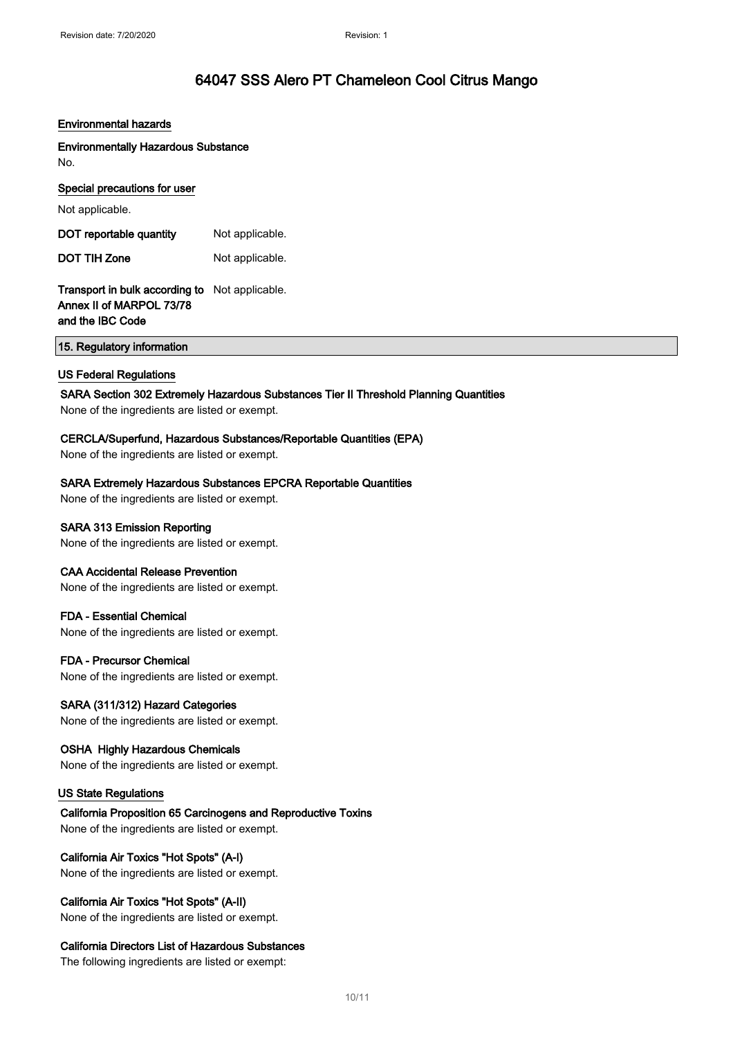#### Environmental hazards

Environmentally Hazardous Substance No.

#### Special precautions for user

Not applicable.

DOT reportable quantity Not applicable. DOT TIH Zone Not applicable.

#### Transport in bulk according to Not applicable. Annex II of MARPOL 73/78 and the IBC Code

15. Regulatory information

#### US Federal Regulations

#### SARA Section 302 Extremely Hazardous Substances Tier II Threshold Planning Quantities

None of the ingredients are listed or exempt.

#### CERCLA/Superfund, Hazardous Substances/Reportable Quantities (EPA)

None of the ingredients are listed or exempt.

#### SARA Extremely Hazardous Substances EPCRA Reportable Quantities

None of the ingredients are listed or exempt.

#### SARA 313 Emission Reporting

None of the ingredients are listed or exempt.

#### CAA Accidental Release Prevention

None of the ingredients are listed or exempt.

#### FDA - Essential Chemical

None of the ingredients are listed or exempt.

#### FDA - Precursor Chemical

None of the ingredients are listed or exempt.

#### SARA (311/312) Hazard Categories

None of the ingredients are listed or exempt.

#### OSHA Highly Hazardous Chemicals

None of the ingredients are listed or exempt.

#### US State Regulations

California Proposition 65 Carcinogens and Reproductive Toxins None of the ingredients are listed or exempt.

#### California Air Toxics "Hot Spots" (A-I)

None of the ingredients are listed or exempt.

#### California Air Toxics "Hot Spots" (A-II)

None of the ingredients are listed or exempt.

#### California Directors List of Hazardous Substances

The following ingredients are listed or exempt: